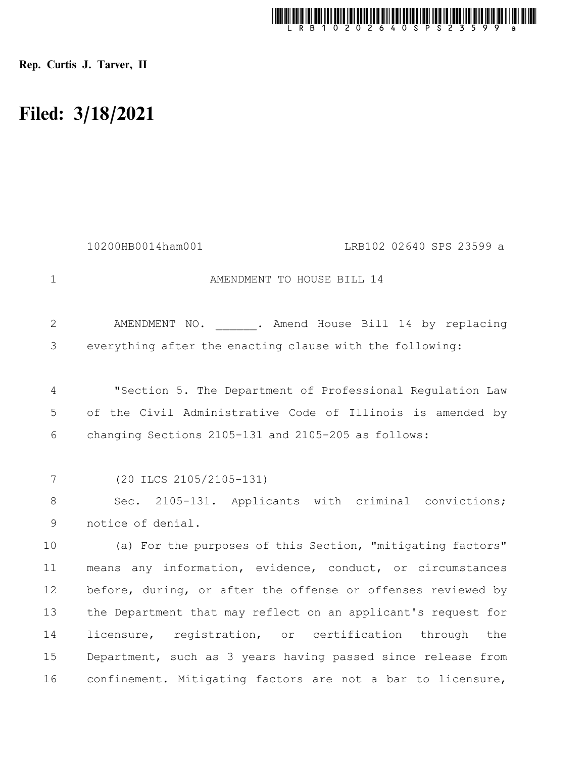

Rep. Curtis J. Tarver, II

## Filed: 3/18/2021

|                | 10200HB0014ham001<br>LRB102 02640 SPS 23599 a                 |  |  |  |  |
|----------------|---------------------------------------------------------------|--|--|--|--|
| $\mathbf{1}$   | AMENDMENT TO HOUSE BILL 14                                    |  |  |  |  |
| $\overline{2}$ | AMENDMENT NO. . Amend House Bill 14 by replacing              |  |  |  |  |
| 3              | everything after the enacting clause with the following:      |  |  |  |  |
| 4              | "Section 5. The Department of Professional Requlation Law     |  |  |  |  |
| 5              | of the Civil Administrative Code of Illinois is amended by    |  |  |  |  |
| 6              | changing Sections 2105-131 and 2105-205 as follows:           |  |  |  |  |
|                |                                                               |  |  |  |  |
| 7              | $(20$ ILCS $2105/2105-131)$                                   |  |  |  |  |
| 8              | Sec. 2105-131. Applicants with criminal convictions;          |  |  |  |  |
| $\mathcal{G}$  | notice of denial.                                             |  |  |  |  |
| 10             | (a) For the purposes of this Section, "mitigating factors"    |  |  |  |  |
| 11             | means any information, evidence, conduct, or circumstances    |  |  |  |  |
| 12             | before, during, or after the offense or offenses reviewed by  |  |  |  |  |
| 13             | the Department that may reflect on an applicant's request for |  |  |  |  |
| 14             | licensure, registration, or certification through the         |  |  |  |  |
| 15             | Department, such as 3 years having passed since release from  |  |  |  |  |
| 16             | confinement. Mitigating factors are not a bar to licensure,   |  |  |  |  |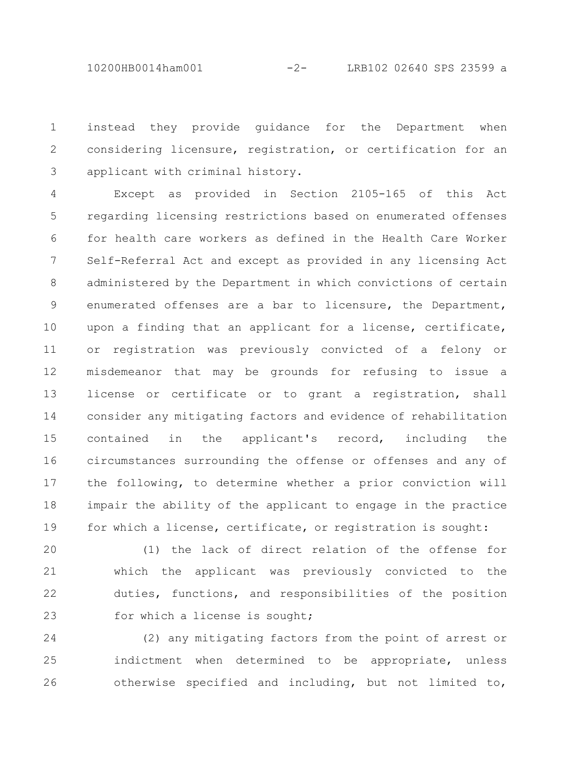10200HB0014ham001 -2- LRB102 02640 SPS 23599 a

instead they provide guidance for the Department when considering licensure, registration, or certification for an applicant with criminal history. 1 2 3

Except as provided in Section 2105-165 of this Act regarding licensing restrictions based on enumerated offenses for health care workers as defined in the Health Care Worker Self-Referral Act and except as provided in any licensing Act administered by the Department in which convictions of certain enumerated offenses are a bar to licensure, the Department, upon a finding that an applicant for a license, certificate, or registration was previously convicted of a felony or misdemeanor that may be grounds for refusing to issue a license or certificate or to grant a registration, shall consider any mitigating factors and evidence of rehabilitation contained in the applicant's record, including the circumstances surrounding the offense or offenses and any of the following, to determine whether a prior conviction will impair the ability of the applicant to engage in the practice for which a license, certificate, or registration is sought: 4 5 6 7 8 9 10 11 12 13 14 15 16 17 18 19

(1) the lack of direct relation of the offense for which the applicant was previously convicted to the duties, functions, and responsibilities of the position for which a license is sought; 20 21 22 23

(2) any mitigating factors from the point of arrest or indictment when determined to be appropriate, unless otherwise specified and including, but not limited to, 24 25 26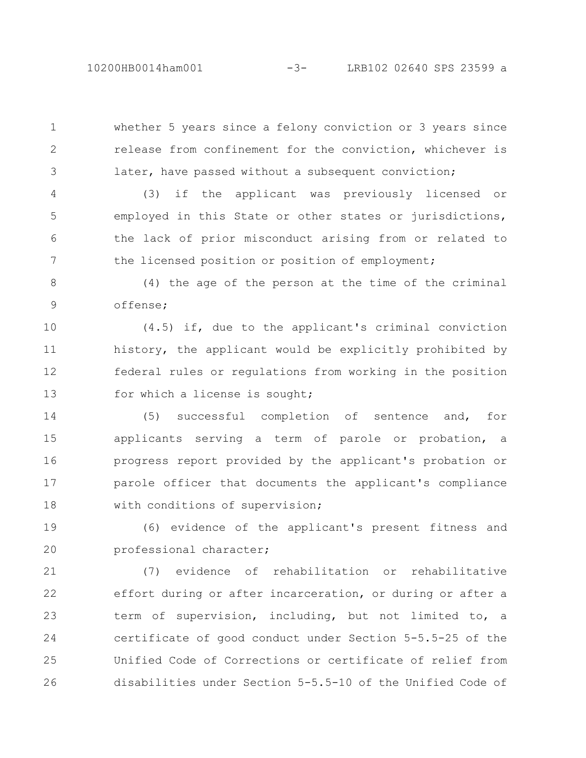10200HB0014ham001 -3- LRB102 02640 SPS 23599 a

whether 5 years since a felony conviction or 3 years since release from confinement for the conviction, whichever is later, have passed without a subsequent conviction;

1

2

3

(3) if the applicant was previously licensed or employed in this State or other states or jurisdictions, the lack of prior misconduct arising from or related to the licensed position or position of employment; 4 5 6 7

(4) the age of the person at the time of the criminal offense; 8 9

(4.5) if, due to the applicant's criminal conviction history, the applicant would be explicitly prohibited by federal rules or regulations from working in the position for which a license is sought; 10 11 12 13

(5) successful completion of sentence and, for applicants serving a term of parole or probation, a progress report provided by the applicant's probation or parole officer that documents the applicant's compliance with conditions of supervision; 14 15 16 17 18

(6) evidence of the applicant's present fitness and professional character; 19 20

(7) evidence of rehabilitation or rehabilitative effort during or after incarceration, or during or after a term of supervision, including, but not limited to, a certificate of good conduct under Section 5-5.5-25 of the Unified Code of Corrections or certificate of relief from disabilities under Section 5-5.5-10 of the Unified Code of 21 22 23 24 25 26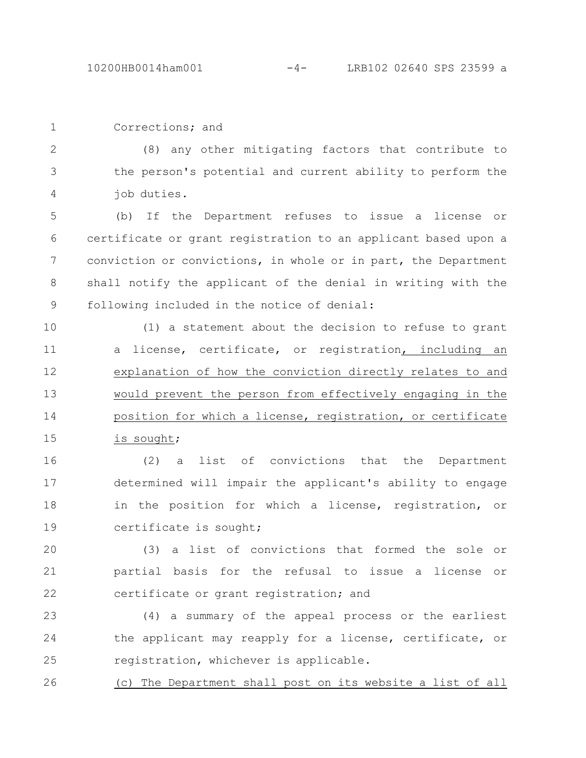Corrections; and

(8) any other mitigating factors that contribute to the person's potential and current ability to perform the job duties. 2 3 4

(b) If the Department refuses to issue a license or certificate or grant registration to an applicant based upon a conviction or convictions, in whole or in part, the Department shall notify the applicant of the denial in writing with the following included in the notice of denial: 5 6 7 8 9

(1) a statement about the decision to refuse to grant a license, certificate, or registration, including an explanation of how the conviction directly relates to and would prevent the person from effectively engaging in the position for which a license, registration, or certificate is sought; 10 11 12 13 14 15

(2) a list of convictions that the Department determined will impair the applicant's ability to engage in the position for which a license, registration, or certificate is sought; 16 17 18 19

(3) a list of convictions that formed the sole or partial basis for the refusal to issue a license or certificate or grant registration; and 20 21 22

(4) a summary of the appeal process or the earliest the applicant may reapply for a license, certificate, or registration, whichever is applicable. 23 24 25

(c) The Department shall post on its website a list of all 26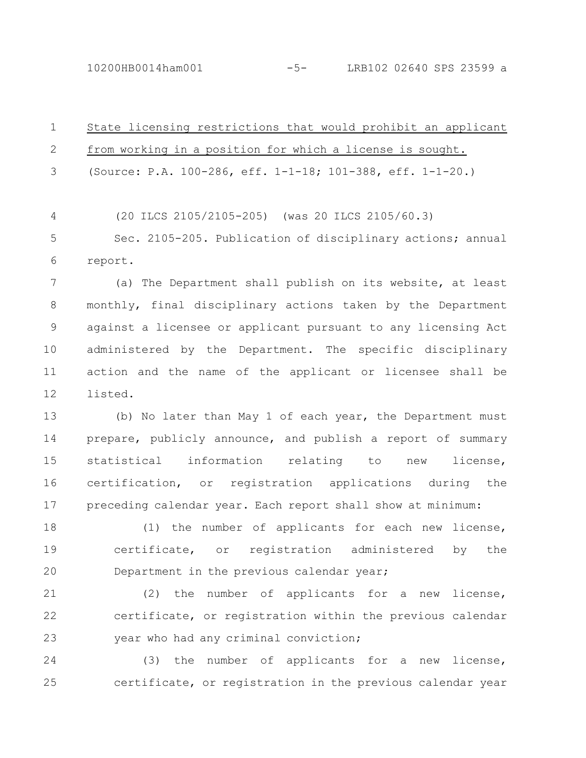10200HB0014ham001 -5- LRB102 02640 SPS 23599 a

State licensing restrictions that would prohibit an applicant from working in a position for which a license is sought. (Source: P.A. 100-286, eff. 1-1-18; 101-388, eff. 1-1-20.) (20 ILCS 2105/2105-205) (was 20 ILCS 2105/60.3) Sec. 2105-205. Publication of disciplinary actions; annual report. (a) The Department shall publish on its website, at least monthly, final disciplinary actions taken by the Department against a licensee or applicant pursuant to any licensing Act administered by the Department. The specific disciplinary action and the name of the applicant or licensee shall be listed. 1 2 3 4 5 6 7 8 9 10 11 12

(b) No later than May 1 of each year, the Department must prepare, publicly announce, and publish a report of summary statistical information relating to new license, certification, or registration applications during the preceding calendar year. Each report shall show at minimum: 13 14 15 16 17

(1) the number of applicants for each new license, certificate, or registration administered by the Department in the previous calendar year; 18 19 20

(2) the number of applicants for a new license, certificate, or registration within the previous calendar year who had any criminal conviction; 21 22 23

(3) the number of applicants for a new license, certificate, or registration in the previous calendar year 24 25